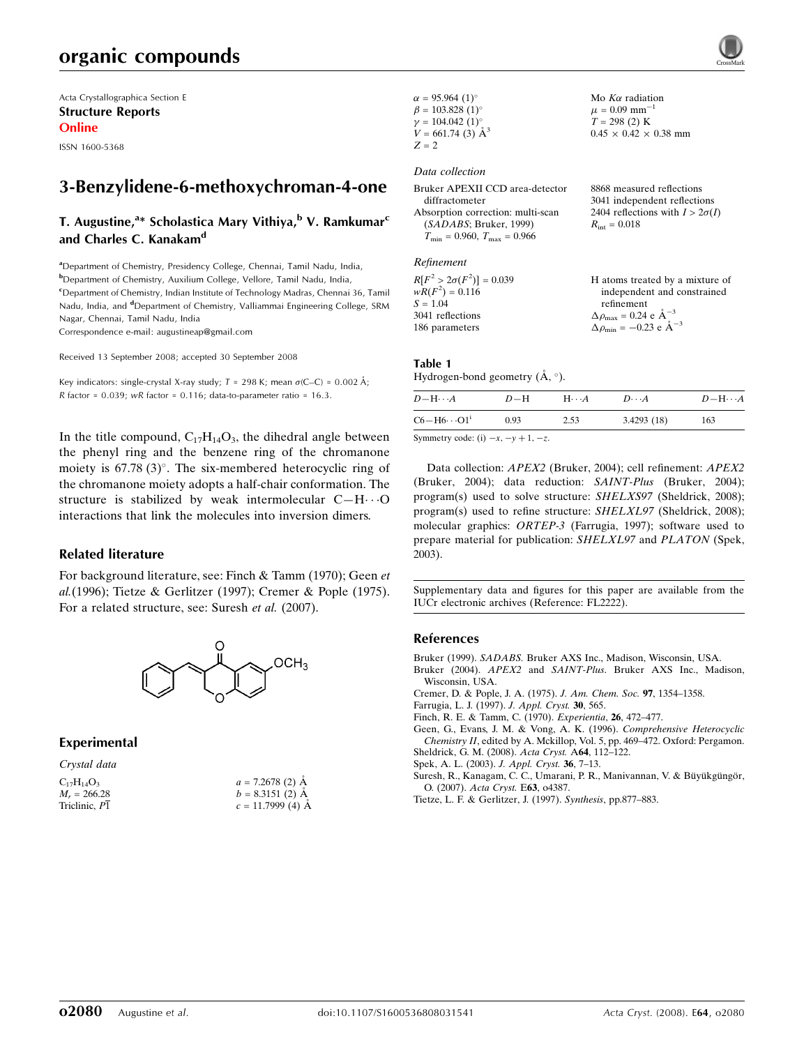# organic compounds

Acta Crystallographica Section E Structure Reports Online

ISSN 1600-5368

## 3-Benzylidene-6-methoxychroman-4-one

## T. Augustine,<sup>a</sup>\* Scholastica Mary Vithiya,<sup>b</sup> V. Ramkumar<sup>c</sup> and Charles C. Kanakam<sup>d</sup>

<sup>a</sup> Department of Chemistry, Presidency College, Chennai, Tamil Nadu, India, b Department of Chemistry, Auxilium College, Vellore, Tamil Nadu, India, <sup>c</sup>Department of Chemistry, Indian Institute of Technology Madras, Chennai 36, Tamil Nadu, India, and <sup>d</sup>Department of Chemistry, Valliammai Engineering College, SRM Nagar, Chennai, Tamil Nadu, India Correspondence e-mail: augustineap@gmail.com

Received 13 September 2008; accepted 30 September 2008

Key indicators: single-crystal X-ray study;  $T = 298$  K; mean  $\sigma$ (C–C) = 0.002 Å; R factor =  $0.039$ ; wR factor =  $0.116$ ; data-to-parameter ratio =  $16.3$ .

In the title compound,  $C_{17}H_{14}O_3$ , the dihedral angle between the phenyl ring and the benzene ring of the chromanone moiety is  $67.78(3)$ °. The six-membered heterocyclic ring of the chromanone moiety adopts a half-chair conformation. The structure is stabilized by weak intermolecular  $C-H \cdot \cdot \cdot O$ interactions that link the molecules into inversion dimers.

#### Related literature

For background literature, see: Finch & Tamm (1970); Geen et al.(1996); Tietze & Gerlitzer (1997); Cremer & Pople (1975). For a related structure, see: Suresh et al. (2007).



#### Experimental

Crystal data

| $a = 7.2678$ (2) $\AA$ |
|------------------------|
| $b = 8.3151(2)$ A      |
| $c = 11.7999(4)$ A     |
|                        |

| $\alpha = 95.964$ (1) <sup>o</sup>  |  |
|-------------------------------------|--|
| $\beta = 103.828$ (1) <sup>o</sup>  |  |
| $\gamma = 104.042$ (1) <sup>o</sup> |  |
| $V = 661.74$ (3) $\AA^3$            |  |
| $Z = 2$                             |  |

## Data collection

| Bruker APEXII CCD area-detector                  | 8868 measured reflections              |
|--------------------------------------------------|----------------------------------------|
| diffractometer                                   | 3041 independent reflections           |
| Absorption correction: multi-scan                | 2404 reflections with $I > 2\sigma(I)$ |
| (SADABS; Bruker, 1999)                           | $R_{\rm int} = 0.018$                  |
| $T_{\text{min}} = 0.960, T_{\text{max}} = 0.966$ |                                        |
| Refinement                                       |                                        |

Mo  $K\alpha$  radiation  $\mu = 0.09$  mm<sup>-1</sup>  $T = 298$  (2) K  $0.45\,\times\,0.42\,\times\,0.38$  mm

 $R[F^2 > 2\sigma(F^2)] = 0.039$ <br>  $wR(F^2) = 0.116$  $S = 1.04$ 3041 reflections 186 parameters H atoms treated by a mixture of independent and constrained refinement  $\Delta\rho_\text{max} = 0.24$ e $\text{\AA}^{-3}$  $\Delta\rho_\mathrm{min}=-0.23$ e $\rm \AA^{-3}$ 

#### Table 1

Hydrogen-bond geometry  $(\AA, \degree)$ .

| $C6 - H6 \cdots O1$ <sup>i</sup><br>3.4293(18)<br>2.53<br>0.93<br>163 | $D - H \cdots A$ | $D-H$ | $H\cdots A$ | $D\cdots A$ | $D-H\cdots A$ |
|-----------------------------------------------------------------------|------------------|-------|-------------|-------------|---------------|
|                                                                       |                  |       |             |             |               |

Symmetry code: (i)  $-x$ ,  $-y + 1$ ,  $-z$ .

Data collection: APEX2 (Bruker, 2004); cell refinement: APEX2 (Bruker, 2004); data reduction: SAINT-Plus (Bruker, 2004); program(s) used to solve structure: SHELXS97 (Sheldrick, 2008); program(s) used to refine structure: SHELXL97 (Sheldrick, 2008); molecular graphics: ORTEP-3 (Farrugia, 1997); software used to prepare material for publication: SHELXL97 and PLATON (Spek, 2003).

Supplementary data and figures for this paper are available from the IUCr electronic archives (Reference: FL2222).

#### References

- Bruker (1999). SADABS. [Bruker AXS Inc., Madison, Wisconsin, USA.](http://scripts.iucr.org/cgi-bin/cr.cgi?rm=pdfbb&cnor=fl2222&bbid=BB1)
- Bruker (2004). APEX2 and SAINT-Plus[. Bruker AXS Inc., Madison,](http://scripts.iucr.org/cgi-bin/cr.cgi?rm=pdfbb&cnor=fl2222&bbid=BB2) [Wisconsin, USA.](http://scripts.iucr.org/cgi-bin/cr.cgi?rm=pdfbb&cnor=fl2222&bbid=BB2)
- [Cremer, D. & Pople, J. A. \(1975\).](http://scripts.iucr.org/cgi-bin/cr.cgi?rm=pdfbb&cnor=fl2222&bbid=BB3) J. Am. Chem. Soc. 97, 1354–1358.
- [Farrugia, L. J. \(1997\).](http://scripts.iucr.org/cgi-bin/cr.cgi?rm=pdfbb&cnor=fl2222&bbid=BB4) J. Appl. Cryst. 30, 565.
- [Finch, R. E. & Tamm, C. \(1970\).](http://scripts.iucr.org/cgi-bin/cr.cgi?rm=pdfbb&cnor=fl2222&bbid=BB5) Experientia, 26, 472–477.
- [Geen, G., Evans, J. M. & Vong, A. K. \(1996\).](http://scripts.iucr.org/cgi-bin/cr.cgi?rm=pdfbb&cnor=fl2222&bbid=BB6) Comprehensive Heterocyclic Chemistry II[, edited by A. Mckillop, Vol. 5, pp. 469–472. Oxford: Pergamon.](http://scripts.iucr.org/cgi-bin/cr.cgi?rm=pdfbb&cnor=fl2222&bbid=BB6) [Sheldrick, G. M. \(2008\).](http://scripts.iucr.org/cgi-bin/cr.cgi?rm=pdfbb&cnor=fl2222&bbid=BB7) Acta Cryst. A64, 112–122.
- [Spek, A. L. \(2003\).](http://scripts.iucr.org/cgi-bin/cr.cgi?rm=pdfbb&cnor=fl2222&bbid=BB8) J. Appl. Cryst. 36, 7–13.
- Suresh, R., Kanagam, C. C., Umarani, P. R., Manivannan, V. & Büyükgüngör, O. (2007). [Acta Cryst.](http://scripts.iucr.org/cgi-bin/cr.cgi?rm=pdfbb&cnor=fl2222&bbid=BB9) E63, o4387.
- [Tietze, L. F. & Gerlitzer, J. \(1997\).](http://scripts.iucr.org/cgi-bin/cr.cgi?rm=pdfbb&cnor=fl2222&bbid=BB10) Synthesis, pp.877–883.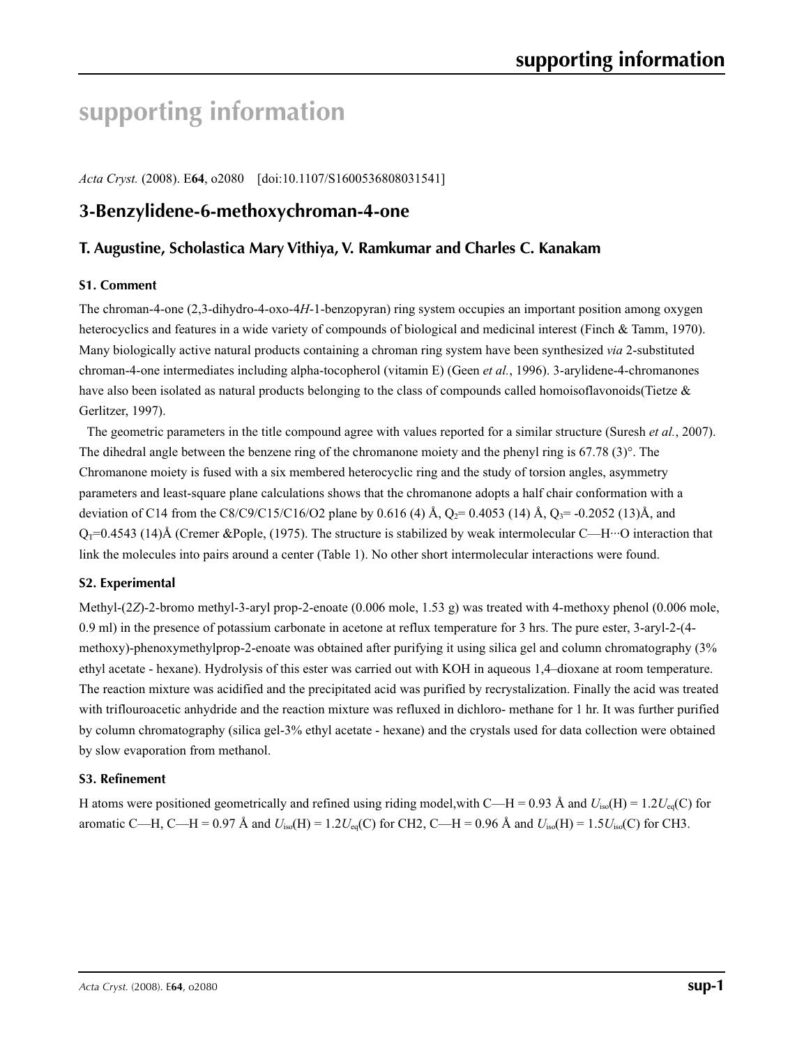# **supporting information**

*Acta Cryst.* (2008). E**64**, o2080 [doi:10.1107/S1600536808031541]

## **3-Benzylidene-6-methoxychroman-4-one**

## **T. Augustine, Scholastica Mary Vithiya, V. Ramkumar and Charles C. Kanakam**

## **S1. Comment**

The chroman-4-one (2,3-dihydro-4-oxo-4*H*-1-benzopyran) ring system occupies an important position among oxygen heterocyclics and features in a wide variety of compounds of biological and medicinal interest (Finch & Tamm, 1970). Many biologically active natural products containing a chroman ring system have been synthesized *via* 2-substituted chroman-4-one intermediates including alpha-tocopherol (vitamin E) (Geen *et al.*, 1996). 3-arylidene-4-chromanones have also been isolated as natural products belonging to the class of compounds called homoisoflavonoids(Tietze & Gerlitzer, 1997).

The geometric parameters in the title compound agree with values reported for a similar structure (Suresh *et al.*, 2007). The dihedral angle between the benzene ring of the chromanone moiety and the phenyl ring is 67.78 (3)°. The Chromanone moiety is fused with a six membered heterocyclic ring and the study of torsion angles, asymmetry parameters and least-square plane calculations shows that the chromanone adopts a half chair conformation with a deviation of C14 from the C8/C9/C15/C16/O2 plane by 0.616 (4) Å,  $Q_2$ = 0.4053 (14) Å,  $Q_3$ = -0.2052 (13)Å, and  $Q_T=0.4543$  (14)Å (Cremer &Pople, (1975). The structure is stabilized by weak intermolecular C—H…O interaction that link the molecules into pairs around a center (Table 1). No other short intermolecular interactions were found.

## **S2. Experimental**

Methyl-(2*Z*)-2-bromo methyl-3-aryl prop-2-enoate (0.006 mole, 1.53 g) was treated with 4-methoxy phenol (0.006 mole, 0.9 ml) in the presence of potassium carbonate in acetone at reflux temperature for 3 hrs. The pure ester, 3-aryl-2-(4 methoxy)-phenoxymethylprop-2-enoate was obtained after purifying it using silica gel and column chromatography (3% ethyl acetate - hexane). Hydrolysis of this ester was carried out with KOH in aqueous 1,4–dioxane at room temperature. The reaction mixture was acidified and the precipitated acid was purified by recrystalization. Finally the acid was treated with triflouroacetic anhydride and the reaction mixture was refluxed in dichloro- methane for 1 hr. It was further purified by column chromatography (silica gel-3% ethyl acetate - hexane) and the crystals used for data collection were obtained by slow evaporation from methanol.

## **S3. Refinement**

H atoms were positioned geometrically and refined using riding model,with C—H = 0.93 Å and  $U_{iso}(H) = 1.2U_{eq}(C)$  for aromatic C—H, C—H = 0.97 Å and  $U_{iso}(H) = 1.2U_{eq}(C)$  for CH2, C—H = 0.96 Å and  $U_{iso}(H) = 1.5U_{iso}(C)$  for CH3.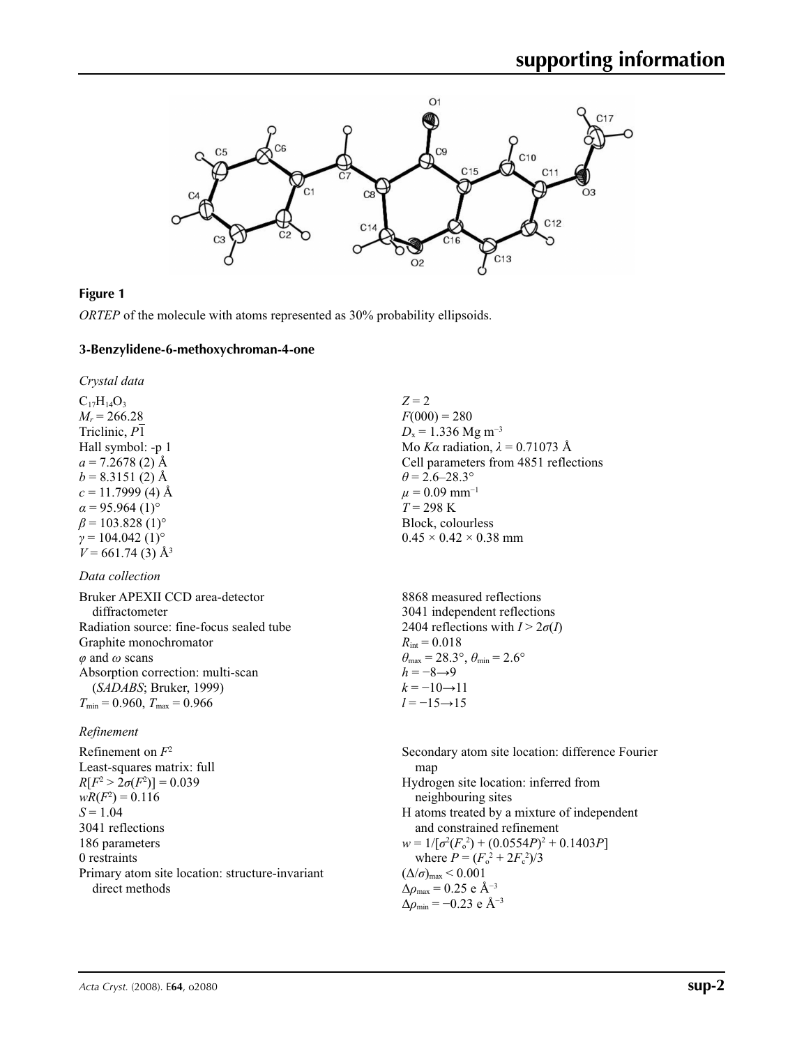

## **Figure 1**

*ORTEP* of the molecule with atoms represented as 30% probability ellipsoids.

#### **3-Benzylidene-6-methoxychroman-4-one**

*Crystal data*

 $C_{17}H_{14}O_3$  $M_r = 266.28$ Triclinic, *P*1 Hall symbol: -p 1  $a = 7.2678(2)$  Å  $b = 8.3151(2)$  Å  $c = 11.7999(4)$  Å  $\alpha$  = 95.964 (1)<sup>o</sup>  $\beta$  = 103.828 (1)<sup>o</sup>  $\gamma = 104.042$  (1)<sup>o</sup>  $V = 661.74(3)$  Å<sup>3</sup>

## *Data collection*

| Bruker APEXII CCD area-detector          |
|------------------------------------------|
| diffractometer                           |
| Radiation source: fine-focus sealed tube |
| Graphite monochromator                   |
| $\varphi$ and $\omega$ scans             |
| Absorption correction: multi-scan        |
| (SADABS; Bruker, 1999)                   |
| $T_{\min}$ = 0.960, $T_{\max}$ = 0.966   |

## *Refinement*

Refinement on *F*<sup>2</sup> Least-squares matrix: full *R*[ $F^2 > 2\sigma(F^2)$ ] = 0.039  $wR(F^2) = 0.116$  $S = 1.04$ 3041 reflections 186 parameters 0 restraints Primary atom site location: structure-invariant direct methods

*Z* = 2  $F(000) = 280$  $D_x = 1.336$  Mg m<sup>-3</sup> Mo *Kα* radiation,  $\lambda = 0.71073$  Å Cell parameters from 4851 reflections  $\theta$  = 2.6–28.3°  $\mu$  = 0.09 mm<sup>-1</sup>  $T = 298 \text{ K}$ Block, colourless  $0.45 \times 0.42 \times 0.38$  mm

8868 measured reflections 3041 independent reflections 2404 reflections with  $I > 2\sigma(I)$  $R_{\text{int}} = 0.018$  $\theta_{\text{max}} = 28.3^{\circ}, \theta_{\text{min}} = 2.6^{\circ}$  $h = -8 \rightarrow 9$  $k = -10 \rightarrow 11$ *l* = −15→15

Secondary atom site location: difference Fourier map Hydrogen site location: inferred from neighbouring sites H atoms treated by a mixture of independent and constrained refinement  $w = 1/[\sigma^2 (F_o^2) + (0.0554P)^2 + 0.1403P]$ where  $P = (F_o^2 + 2F_c^2)/3$  $(\Delta/\sigma)_{\text{max}}$  < 0.001  $\Delta\rho_{\rm max}$  = 0.25 e Å<sup>-3</sup> Δ*ρ*min = −0.23 e Å−3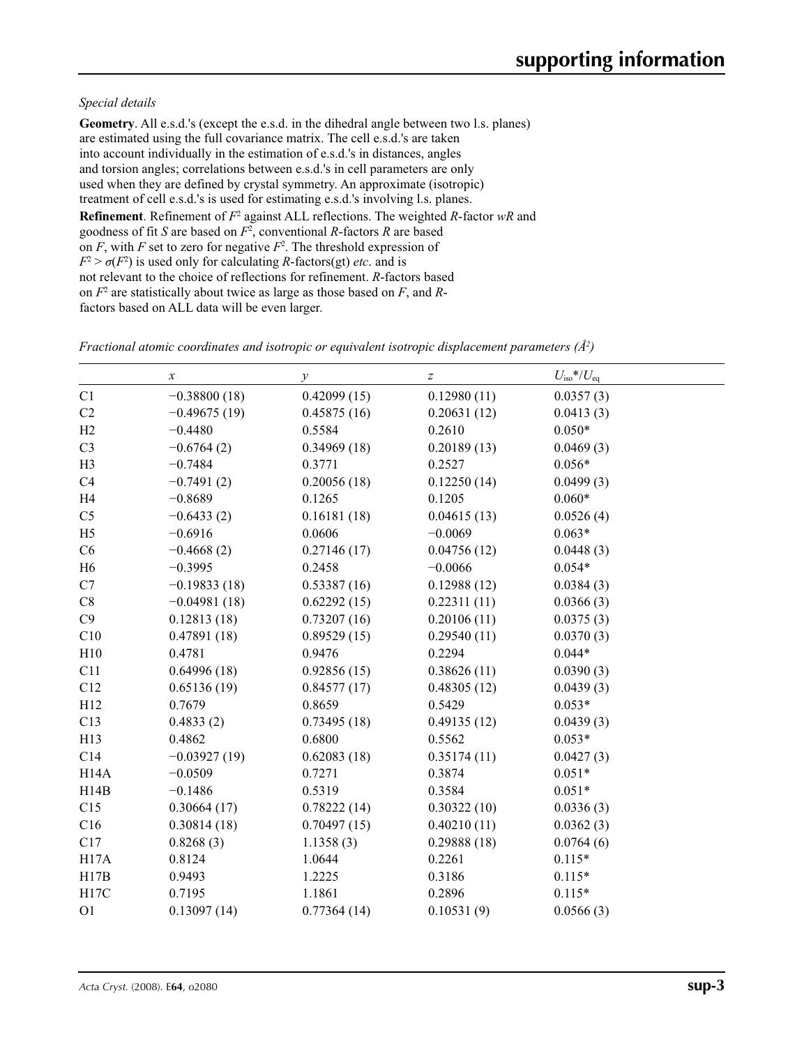## *Special details*

**Geometry**. All e.s.d.'s (except the e.s.d. in the dihedral angle between two l.s. planes) are estimated using the full covariance matrix. The cell e.s.d.'s are taken into account individually in the estimation of e.s.d.'s in distances, angles and torsion angles; correlations between e.s.d.'s in cell parameters are only used when they are defined by crystal symmetry. An approximate (isotropic) treatment of cell e.s.d.'s is used for estimating e.s.d.'s involving l.s. planes. **Refinement**. Refinement of  $F^2$  against ALL reflections. The weighted *R*-factor wR and goodness of fit *S* are based on *F*<sup>2</sup> , conventional *R*-factors *R* are based on  $F$ , with  $F$  set to zero for negative  $F^2$ . The threshold expression of  $F^2 > \sigma(F^2)$  is used only for calculating *R*-factors(gt) *etc*. and is not relevant to the choice of reflections for refinement. *R*-factors based on *F*<sup>2</sup> are statistically about twice as large as those based on *F*, and *R*factors based on ALL data will be even larger.

|                   | $\boldsymbol{x}$ | $\mathcal{Y}$ | $\boldsymbol{Z}$ | $U_{\rm iso}$ */ $U_{\rm eq}$ |
|-------------------|------------------|---------------|------------------|-------------------------------|
| C1                | $-0.38800(18)$   | 0.42099(15)   | 0.12980(11)      | 0.0357(3)                     |
| C2                | $-0.49675(19)$   | 0.45875(16)   | 0.20631(12)      | 0.0413(3)                     |
| H2                | $-0.4480$        | 0.5584        | 0.2610           | $0.050*$                      |
| C <sub>3</sub>    | $-0.6764(2)$     | 0.34969(18)   | 0.20189(13)      | 0.0469(3)                     |
| H <sub>3</sub>    | $-0.7484$        | 0.3771        | 0.2527           | $0.056*$                      |
| C4                | $-0.7491(2)$     | 0.20056(18)   | 0.12250(14)      | 0.0499(3)                     |
| H <sub>4</sub>    | $-0.8689$        | 0.1265        | 0.1205           | $0.060*$                      |
| C <sub>5</sub>    | $-0.6433(2)$     | 0.16181(18)   | 0.04615(13)      | 0.0526(4)                     |
| H <sub>5</sub>    | $-0.6916$        | 0.0606        | $-0.0069$        | $0.063*$                      |
| C6                | $-0.4668(2)$     | 0.27146(17)   | 0.04756(12)      | 0.0448(3)                     |
| H <sub>6</sub>    | $-0.3995$        | 0.2458        | $-0.0066$        | $0.054*$                      |
| C7                | $-0.19833(18)$   | 0.53387(16)   | 0.12988(12)      | 0.0384(3)                     |
| $\rm{C}8$         | $-0.04981(18)$   | 0.62292(15)   | 0.22311(11)      | 0.0366(3)                     |
| C9                | 0.12813(18)      | 0.73207(16)   | 0.20106(11)      | 0.0375(3)                     |
| C10               | 0.47891(18)      | 0.89529(15)   | 0.29540(11)      | 0.0370(3)                     |
| H10               | 0.4781           | 0.9476        | 0.2294           | $0.044*$                      |
| C11               | 0.64996(18)      | 0.92856(15)   | 0.38626(11)      | 0.0390(3)                     |
| C12               | 0.65136(19)      | 0.84577(17)   | 0.48305(12)      | 0.0439(3)                     |
| H12               | 0.7679           | 0.8659        | 0.5429           | $0.053*$                      |
| C13               | 0.4833(2)        | 0.73495(18)   | 0.49135(12)      | 0.0439(3)                     |
| H13               | 0.4862           | 0.6800        | 0.5562           | $0.053*$                      |
| C14               | $-0.03927(19)$   | 0.62083(18)   | 0.35174(11)      | 0.0427(3)                     |
| H <sub>14</sub> A | $-0.0509$        | 0.7271        | 0.3874           | $0.051*$                      |
| H14B              | $-0.1486$        | 0.5319        | 0.3584           | $0.051*$                      |
| C15               | 0.30664(17)      | 0.78222(14)   | 0.30322(10)      | 0.0336(3)                     |
| C16               | 0.30814(18)      | 0.70497(15)   | 0.40210(11)      | 0.0362(3)                     |
| C17               | 0.8268(3)        | 1.1358(3)     | 0.29888(18)      | 0.0764(6)                     |
| H17A              | 0.8124           | 1.0644        | 0.2261           | $0.115*$                      |
| H17B              | 0.9493           | 1.2225        | 0.3186           | $0.115*$                      |
| H17C              | 0.7195           | 1.1861        | 0.2896           | $0.115*$                      |
| O <sub>1</sub>    | 0.13097(14)      | 0.77364(14)   | 0.10531(9)       | 0.0566(3)                     |

*Fractional atomic coordinates and isotropic or equivalent isotropic displacement parameters (Å<sup>2</sup>)*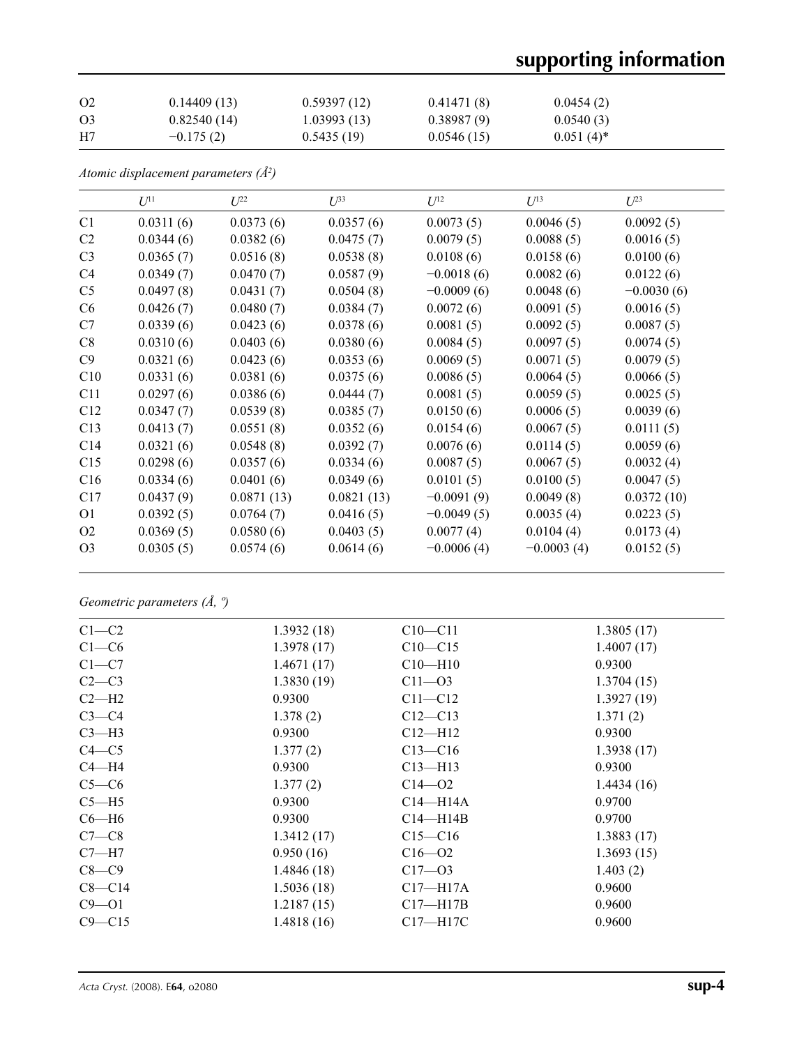# **supporting information**

| O <sub>2</sub> | 0.14409(13) | 0.59397(12) | 0.41471(8) | 0.0454(2)    |
|----------------|-------------|-------------|------------|--------------|
| O <sub>3</sub> | 0.82540(14) | 1.03993(13) | 0.38987(9) | 0.0540(3)    |
| H7             | $-0.175(2)$ | 0.5435(19)  | 0.0546(15) | $0.051(4)^*$ |

*Atomic displacement parameters (Å2 )*

|                | $U^{11}$  | $U^{22}$   | $\mathcal{L}^{\beta 3}$ | $U^{12}$     | $U^{13}$     | $U^{23}$     |
|----------------|-----------|------------|-------------------------|--------------|--------------|--------------|
| C1             | 0.0311(6) | 0.0373(6)  | 0.0357(6)               | 0.0073(5)    | 0.0046(5)    | 0.0092(5)    |
| C <sub>2</sub> | 0.0344(6) | 0.0382(6)  | 0.0475(7)               | 0.0079(5)    | 0.0088(5)    | 0.0016(5)    |
| C <sub>3</sub> | 0.0365(7) | 0.0516(8)  | 0.0538(8)               | 0.0108(6)    | 0.0158(6)    | 0.0100(6)    |
| C <sub>4</sub> | 0.0349(7) | 0.0470(7)  | 0.0587(9)               | $-0.0018(6)$ | 0.0082(6)    | 0.0122(6)    |
| C <sub>5</sub> | 0.0497(8) | 0.0431(7)  | 0.0504(8)               | $-0.0009(6)$ | 0.0048(6)    | $-0.0030(6)$ |
| C <sub>6</sub> | 0.0426(7) | 0.0480(7)  | 0.0384(7)               | 0.0072(6)    | 0.0091(5)    | 0.0016(5)    |
| C7             | 0.0339(6) | 0.0423(6)  | 0.0378(6)               | 0.0081(5)    | 0.0092(5)    | 0.0087(5)    |
| C8             | 0.0310(6) | 0.0403(6)  | 0.0380(6)               | 0.0084(5)    | 0.0097(5)    | 0.0074(5)    |
| C9             | 0.0321(6) | 0.0423(6)  | 0.0353(6)               | 0.0069(5)    | 0.0071(5)    | 0.0079(5)    |
| C10            | 0.0331(6) | 0.0381(6)  | 0.0375(6)               | 0.0086(5)    | 0.0064(5)    | 0.0066(5)    |
| C11            | 0.0297(6) | 0.0386(6)  | 0.0444(7)               | 0.0081(5)    | 0.0059(5)    | 0.0025(5)    |
| C12            | 0.0347(7) | 0.0539(8)  | 0.0385(7)               | 0.0150(6)    | 0.0006(5)    | 0.0039(6)    |
| C13            | 0.0413(7) | 0.0551(8)  | 0.0352(6)               | 0.0154(6)    | 0.0067(5)    | 0.0111(5)    |
| C14            | 0.0321(6) | 0.0548(8)  | 0.0392(7)               | 0.0076(6)    | 0.0114(5)    | 0.0059(6)    |
| C15            | 0.0298(6) | 0.0357(6)  | 0.0334(6)               | 0.0087(5)    | 0.0067(5)    | 0.0032(4)    |
| C16            | 0.0334(6) | 0.0401(6)  | 0.0349(6)               | 0.0101(5)    | 0.0100(5)    | 0.0047(5)    |
| C17            | 0.0437(9) | 0.0871(13) | 0.0821(13)              | $-0.0091(9)$ | 0.0049(8)    | 0.0372(10)   |
| O <sub>1</sub> | 0.0392(5) | 0.0764(7)  | 0.0416(5)               | $-0.0049(5)$ | 0.0035(4)    | 0.0223(5)    |
| O <sub>2</sub> | 0.0369(5) | 0.0580(6)  | 0.0403(5)               | 0.0077(4)    | 0.0104(4)    | 0.0173(4)    |
| O <sub>3</sub> | 0.0305(5) | 0.0574(6)  | 0.0614(6)               | $-0.0006(4)$ | $-0.0003(4)$ | 0.0152(5)    |

*Geometric parameters (Å, º)*

| $C1-C2$    | 1.3932(18) | $C10 - C11$  | 1.3805(17) |
|------------|------------|--------------|------------|
| $C1-C6$    | 1.3978(17) | $C10 - C15$  | 1.4007(17) |
| $C1 - C7$  | 1.4671(17) | $C10 - H10$  | 0.9300     |
| $C2-C3$    | 1.3830(19) | $C11 - 03$   | 1.3704(15) |
| $C2-H2$    | 0.9300     | $C11 - C12$  | 1.3927(19) |
| $C3-C4$    | 1.378(2)   | $C12 - C13$  | 1.371(2)   |
| $C3-H3$    | 0.9300     | $Cl2-H12$    | 0.9300     |
| $C4 - C5$  | 1.377(2)   | $C13 - C16$  | 1.3938(17) |
| $C4 - H4$  | 0.9300     | $C13 - H13$  | 0.9300     |
| $C5-C6$    | 1.377(2)   | $C14 - 02$   | 1.4434(16) |
| $C5 - H5$  | 0.9300     | $C14 - H14A$ | 0.9700     |
| $C6 - H6$  | 0.9300     | $C14 - H14B$ | 0.9700     |
| $C7-C8$    | 1.3412(17) | $C15 - C16$  | 1.3883(17) |
| $C7 - H7$  | 0.950(16)  | $C16 - 02$   | 1.3693(15) |
| $C8-C9$    | 1.4846(18) | $C17 - 03$   | 1.403(2)   |
| $C8 - C14$ | 1.5036(18) | $C17 - H17A$ | 0.9600     |
| $C9 - 01$  | 1.2187(15) | $C17 - H17B$ | 0.9600     |
| $C9 - C15$ | 1.4818(16) | $C17 - H17C$ | 0.9600     |
|            |            |              |            |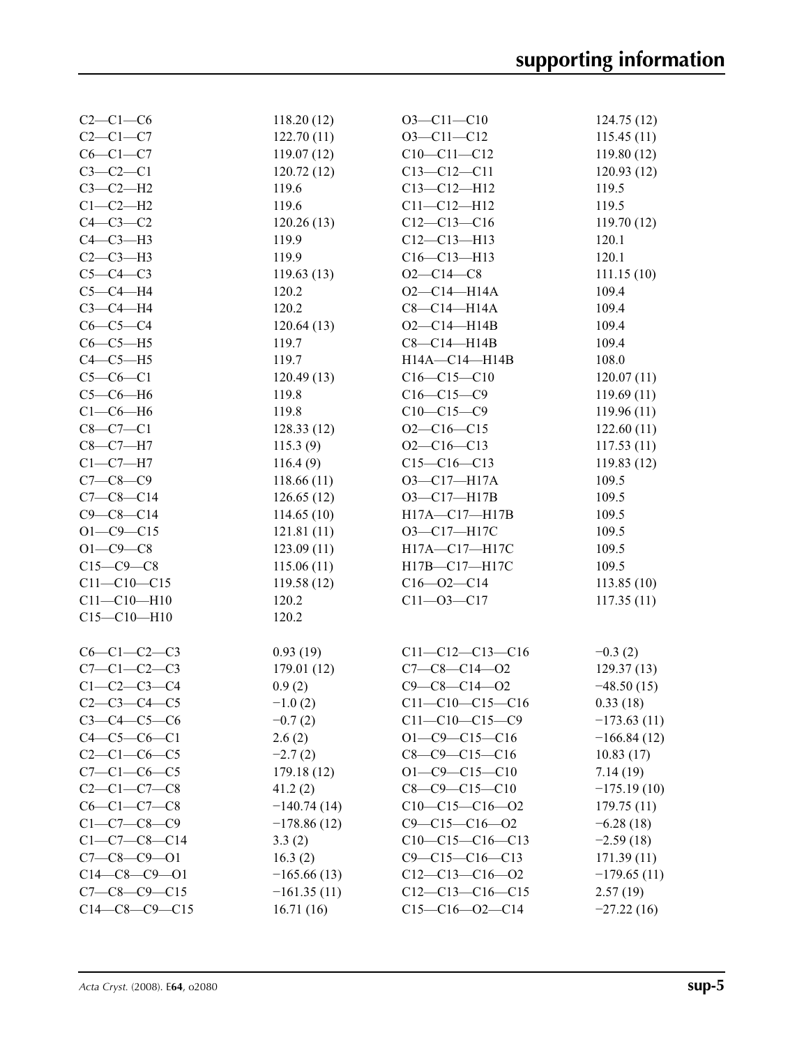| $C2-C1-C6$           | 118.20(12)    | $O3 - Cl1 - Cl0$       | 124.75(12)    |
|----------------------|---------------|------------------------|---------------|
| $C2-C1-C7$           | 122.70(11)    | $O3 - Cl1 - Cl2$       | 115.45(11)    |
| $C6-C1-C7$           | 119.07(12)    | $C10-C11-C12$          | 119.80(12)    |
| $C3-C2-C1$           | 120.72(12)    | $C13 - C12 - C11$      | 120.93(12)    |
| $C3-C2-H2$           | 119.6         | $C13 - C12 - H12$      | 119.5         |
| $C1-C2-H2$           | 119.6         | $C11 - C12 - H12$      | 119.5         |
| $C4-C3-C2$           | 120.26(13)    | $C12-C13-C16$          | 119.70(12)    |
| $C4-C3-H3$           | 119.9         | $C12-C13-H13$          | 120.1         |
| $C2-C3-H3$           | 119.9         | $C16-C13-H13$          | 120.1         |
| $C5-C4-C3$           | 119.63(13)    | $O2 - C14 - C8$        | 111.15(10)    |
| $C5-C4-H4$           | 120.2         | $O2 - C14 - H14A$      | 109.4         |
| $C3-C4-H4$           | 120.2         | $C8-C14-H14A$          | 109.4         |
| $C6-C5-C4$           | 120.64(13)    | $O2 - C14 - H14B$      | 109.4         |
| $C6-C5-H5$           | 119.7         | $C8-C14-H14B$          | 109.4         |
| $C4-C5-H5$           | 119.7         | H14A-C14-H14B          | 108.0         |
| $C5-C6-C1$           | 120.49(13)    | $C16-C15-C10$          | 120.07(11)    |
| $C5-C6-H6$           | 119.8         | $C16-C15-C9$           | 119.69(11)    |
| $C1-C6-H6$           | 119.8         | $C10-C15-C9$           | 119.96(11)    |
| $C8-C7-C1$           | 128.33(12)    | $O2 - C16 - C15$       | 122.60(11)    |
| $C8-C7-H7$           | 115.3(9)      | $O2-C16-C13$           | 117.53(11)    |
| $C1-C7-H7$           | 116.4(9)      | $C15-C16-C13$          | 119.83(12)    |
| $C7 - C8 - C9$       | 118.66(11)    | O3-C17-H17A            | 109.5         |
| $C7-C8-C14$          | 126.65(12)    | O3-C17-H17B            | 109.5         |
| $C9 - C8 - C14$      | 114.65(10)    | H17A-C17-H17B          | 109.5         |
| $O1 - C9 - C15$      | 121.81(11)    | O3-C17-H17C            | 109.5         |
| $O1 - C9 - C8$       | 123.09(11)    | H17A-C17-H17C          | 109.5         |
| $C15-C9-C8$          | 115.06(11)    | H17B-C17-H17C          | 109.5         |
| $C11 - C10 - C15$    | 119.58(12)    | $C16 - 02 - C14$       | 113.85(10)    |
| $C11 - C10 - H10$    | 120.2         | $C11 - 03 - C17$       | 117.35(11)    |
| $C15 - C10 - H10$    | 120.2         |                        |               |
| $C6-C1-C2-C3$        | 0.93(19)      | $C11-C12-C13-C16$      | $-0.3(2)$     |
| $C7 - C1 - C2 - C3$  | 179.01(12)    | $C7-C8-C14-02$         | 129.37(13)    |
| $C1 - C2 - C3 - C4$  | 0.9(2)        | $C9 - C8 - C14 - O2$   | $-48.50(15)$  |
| $C2 - C3 - C4 - C5$  | $-1.0(2)$     | $C11-C10-C15-C16$      | 0.33(18)      |
| $C3 - C4 - C5 - C6$  | $-0.7(2)$     | $C11-C10-C15-C9$       | $-173.63(11)$ |
| $C4 - C5 - C6 - C1$  | 2.6(2)        | $O1 - C9 - C15 - C16$  | $-166.84(12)$ |
| $C2 - C1 - C6 - C5$  | $-2.7(2)$     | $C8-C9-C15-C16$        | 10.83(17)     |
| $C7 - C1 - C6 - C5$  | 179.18 (12)   | $O1 - C9 - C15 - C10$  | 7.14(19)      |
| $C2-C1-C7-C8$        | 41.2(2)       | $C8-C9-C15-C10$        | $-175.19(10)$ |
| $C6-C1-C7-C8$        | $-140.74(14)$ | $C10-C15-C16-O2$       | 179.75(11)    |
| $C1 - C7 - C8 - C9$  | $-178.86(12)$ | $C9 - C15 - C16 - O2$  | $-6.28(18)$   |
| $C1 - C7 - C8 - C14$ | 3.3(2)        | $C10-C15-C16-C13$      | $-2.59(18)$   |
| $C7 - C8 - C9 - 01$  | 16.3(2)       | $C9 - C15 - C16 - C13$ | 171.39(11)    |
| $C14-C8-C9-O1$       | $-165.66(13)$ | $C12-C13-C16-O2$       | $-179.65(11)$ |
| $C7-C8-C9-C15$       | $-161.35(11)$ | $C12-C13-C16-C15$      | 2.57(19)      |
| $C14-C8-C9-C15$      | 16.71(16)     | $C15-C16-O2-C14$       | $-27.22(16)$  |